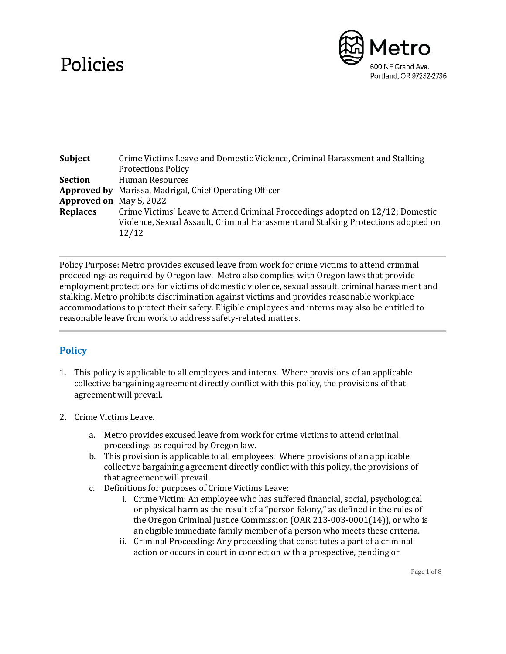## Policies



| <b>Subject</b>                 | Crime Victims Leave and Domestic Violence, Criminal Harassment and Stalking<br><b>Protections Policy</b>                                                                     |
|--------------------------------|------------------------------------------------------------------------------------------------------------------------------------------------------------------------------|
| <b>Section</b>                 | Human Resources                                                                                                                                                              |
|                                | <b>Approved by</b> Marissa, Madrigal, Chief Operating Officer                                                                                                                |
| <b>Approved on</b> May 5, 2022 |                                                                                                                                                                              |
| <b>Replaces</b>                | Crime Victims' Leave to Attend Criminal Proceedings adopted on 12/12; Domestic<br>Violence, Sexual Assault, Criminal Harassment and Stalking Protections adopted on<br>12/12 |

Policy Purpose: Metro provides excused leave from work for crime victims to attend criminal proceedings as required by Oregon law. Metro also complies with Oregon laws that provide employment protections for victims of domestic violence, sexual assault, criminal harassment and stalking. Metro prohibits discrimination against victims and provides reasonable workplace accommodations to protect their safety. Eligible employees and interns may also be entitled to reasonable leave from work to address safety-related matters.

## **Policy**

- 1. This policy is applicable to all employees and interns. Where provisions of an applicable collective bargaining agreement directly conflict with this policy, the provisions of that agreement will prevail.
- 2. Crime Victims Leave.
	- a. Metro provides excused leave from work for crime victims to attend criminal proceedings as required by Oregon law.
	- b. This provision is applicable to all employees. Where provisions of an applicable collective bargaining agreement directly conflict with this policy, the provisions of that agreement will prevail.
	- c. Definitions for purposes of Crime Victims Leave:
		- i. Crime Victim: An employee who has suffered financial, social, psychological or physical harm as the result of a "person felony," as defined in the rules of the Oregon Criminal Justice Commission (OAR 213-003-0001(14)), or who is an eligible immediate family member of a person who meets these criteria.
		- ii. Criminal Proceeding: Any proceeding that constitutes a part of a criminal action or occurs in court in connection with a prospective, pending or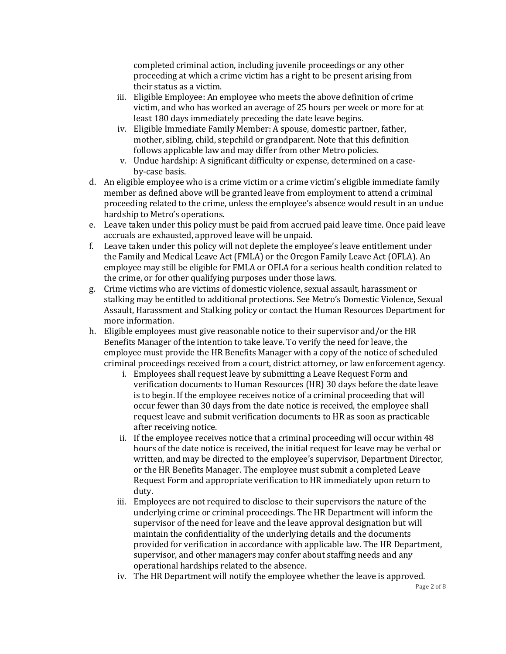completed criminal action, including juvenile proceedings or any other proceeding at which a crime victim has a right to be present arising from their status as a victim.

- iii. Eligible Employee: An employee who meets the above definition of crime victim, and who has worked an average of 25 hours per week or more for at least 180 days immediately preceding the date leave begins.
- iv. Eligible Immediate Family Member: A spouse, domestic partner, father, mother, sibling, child, stepchild or grandparent. Note that this definition follows applicable law and may differ from other Metro policies.
- v. Undue hardship: A significant difficulty or expense, determined on a caseby-case basis.
- d. An eligible employee who is a crime victim or a crime victim's eligible immediate family member as defined above will be granted leave from employment to attend a criminal proceeding related to the crime, unless the employee's absence would result in an undue hardship to Metro's operations.
- e. Leave taken under this policy must be paid from accrued paid leave time. Once paid leave accruals are exhausted, approved leave will be unpaid.
- f. Leave taken under this policy will not deplete the employee's leave entitlement under the Family and Medical Leave Act (FMLA) or the Oregon Family Leave Act (OFLA). An employee may still be eligible for FMLA or OFLA for a serious health condition related to the crime, or for other qualifying purposes under those laws.
- g. Crime victims who are victims of domestic violence, sexual assault, harassment or stalking may be entitled to additional protections. See Metro's Domestic Violence, Sexual Assault, Harassment and Stalking policy or contact the Human Resources Department for more information.
- h. Eligible employees must give reasonable notice to their supervisor and/or the HR Benefits Manager of the intention to take leave. To verify the need for leave, the employee must provide the HR Benefits Manager with a copy of the notice of scheduled criminal proceedings received from a court, district attorney, or law enforcement agency.
	- i. Employees shall request leave by submitting a Leave Request Form and verification documents to Human Resources (HR) 30 days before the date leave is to begin. If the employee receives notice of a criminal proceeding that will occur fewer than 30 days from the date notice is received, the employee shall request leave and submit verification documents to HR as soon as practicable after receiving notice.
	- ii. If the employee receives notice that a criminal proceeding will occur within 48 hours of the date notice is received, the initial request for leave may be verbal or written, and may be directed to the employee's supervisor, Department Director, or the HR Benefits Manager. The employee must submit a completed Leave Request Form and appropriate verification to HR immediately upon return to duty.
	- iii. Employees are not required to disclose to their supervisors the nature of the underlying crime or criminal proceedings. The HR Department will inform the supervisor of the need for leave and the leave approval designation but will maintain the confidentiality of the underlying details and the documents provided for verification in accordance with applicable law. The HR Department, supervisor, and other managers may confer about staffing needs and any operational hardships related to the absence.
	- iv. The HR Department will notify the employee whether the leave is approved.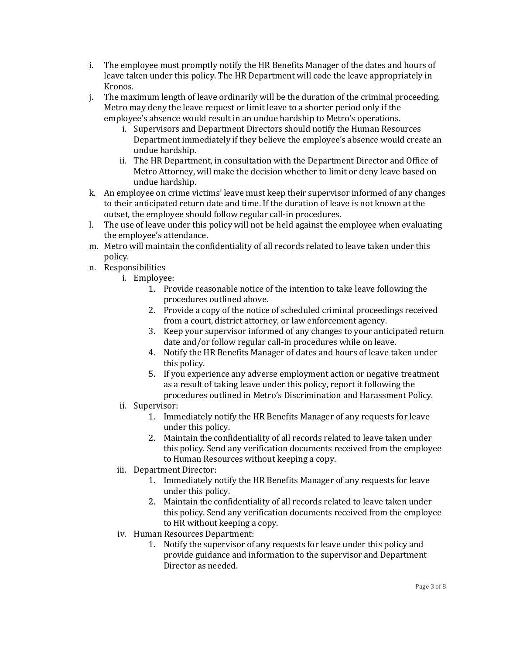- i. The employee must promptly notify the HR Benefits Manager of the dates and hours of leave taken under this policy. The HR Department will code the leave appropriately in Kronos.
- j. The maximum length of leave ordinarily will be the duration of the criminal proceeding. Metro may deny the leave request or limit leave to a shorter period only if the employee's absence would result in an undue hardship to Metro's operations.
	- i. Supervisors and Department Directors should notify the Human Resources Department immediately if they believe the employee's absence would create an undue hardship.
	- ii. The HR Department, in consultation with the Department Director and Office of Metro Attorney, will make the decision whether to limit or deny leave based on undue hardship.
- k. An employee on crime victims' leave must keep their supervisor informed of any changes to their anticipated return date and time. If the duration of leave is not known at the outset, the employee should follow regular call-in procedures.
- l. The use of leave under this policy will not be held against the employee when evaluating the employee's attendance.
- m. Metro will maintain the confidentiality of all records related to leave taken under this policy.
- n. Responsibilities
	- i. Employee:
		- 1. Provide reasonable notice of the intention to take leave following the procedures outlined above.
		- 2. Provide a copy of the notice of scheduled criminal proceedings received from a court, district attorney, or law enforcement agency.
		- 3. Keep your supervisor informed of any changes to your anticipated return date and/or follow regular call-in procedures while on leave.
		- 4. Notify the HR Benefits Manager of dates and hours of leave taken under this policy.
		- 5. If you experience any adverse employment action or negative treatment as a result of taking leave under this policy, report it following the procedures outlined in Metro's Discrimination and Harassment Policy.
	- ii. Supervisor:
		- 1. Immediately notify the HR Benefits Manager of any requests for leave under this policy.
		- 2. Maintain the confidentiality of all records related to leave taken under this policy. Send any verification documents received from the employee to Human Resources without keeping a copy.
	- iii. Department Director:
		- 1. Immediately notify the HR Benefits Manager of any requests for leave under this policy.
		- 2. Maintain the confidentiality of all records related to leave taken under this policy. Send any verification documents received from the employee to HR without keeping a copy.
	- iv. Human Resources Department:
		- 1. Notify the supervisor of any requests for leave under this policy and provide guidance and information to the supervisor and Department Director as needed.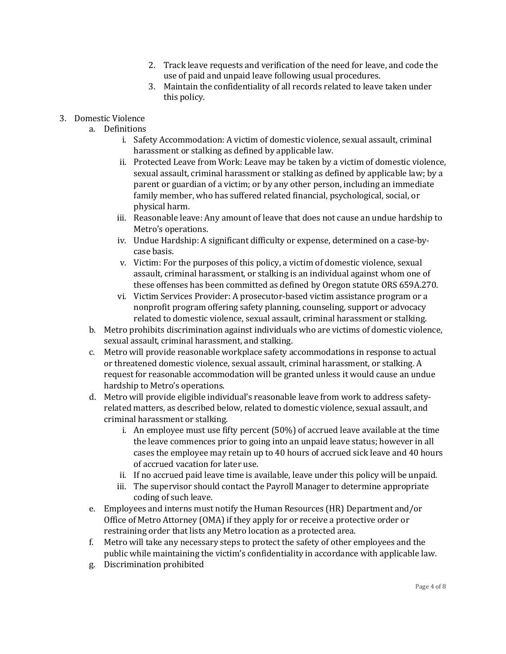- 2. Track leave requests and verification of the need for leave, and code the use of paid and unpaid leave following usual procedures.
- 3. Maintain the confidentiality of all records related to leave taken under this policy.
- 3. Domestic Violence
	- a. Definitions
		- i. Safety Accommodation: A victim of domestic violence, sexual assault, criminal harassment or stalking as defined by applicable law.
		- ii. Protected Leave from Work: Leave may be taken by a victim of domestic violence, sexual assault, criminal harassment or stalking as defined by applicable law; by a parent or guardian of a victim; or by any other person, including an immediate family member, who has suffered related financial, psychological, social, or physical harm.
		- iii. Reasonable leave: Any amount of leave that does not cause an undue hardship to Metro's operations.
		- iv. Undue Hardship: A significant difficulty or expense, determined on a case-bycase basis.
		- v. Victim: For the purposes of this policy, a victim of domestic violence, sexual assault, criminal harassment, or stalking is an individual against whom one of these offenses has been committed as defined by Oregon statute ORS 659A.270.
		- vi. Victim Services Provider: A prosecutor-based victim assistance program or a nonprofit program offering safety planning, counseling, support or advocacy related to domestic violence, sexual assault, criminal harassment or stalking.
	- b. Metro prohibits discrimination against individuals who are victims of domestic violence, sexual assault, criminal harassment, and stalking.
	- c. Metro will provide reasonable workplace safety accommodations in response to actual or threatened domestic violence, sexual assault, criminal harassment, or stalking. A request for reasonable accommodation will be granted unless it would cause an undue hardship to Metro's operations.
	- d. Metro will provide eligible individual's reasonable leave from work to address safetyrelated matters, as described below, related to domestic violence, sexual assault, and criminal harassment or stalking.
		- i. An employee must use fifty percent (50%) of accrued leave available at the time the leave commences prior to going into an unpaid leave status; however in all cases the employee may retain up to 40 hours of accrued sick leave and 40 hours of accrued vacation for later use.
		- ii. If no accrued paid leave time is available, leave under this policy will be unpaid.
		- iii. The supervisor should contact the Payroll Manager to determine appropriate coding of such leave.
	- e. Employees and interns must notify the Human Resources (HR) Department and/or Office of Metro Attorney (OMA) if they apply for or receive a protective order or restraining order that lists any Metro location as a protected area.
	- f. Metro will take any necessary steps to protect the safety of other employees and the public while maintaining the victim's confidentiality in accordance with applicable law.
	- g. Discrimination prohibited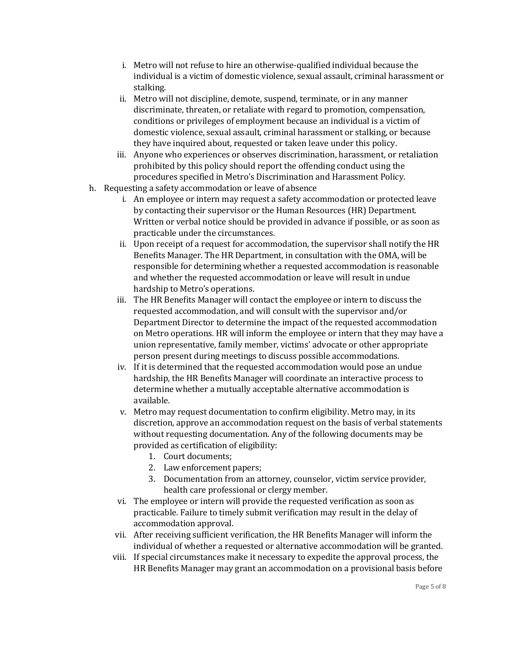- i. Metro will not refuse to hire an otherwise-qualified individual because the individual is a victim of domestic violence, sexual assault, criminal harassment or stalking.
- ii. Metro will not discipline, demote, suspend, terminate, or in any manner discriminate, threaten, or retaliate with regard to promotion, compensation, conditions or privileges of employment because an individual is a victim of domestic violence, sexual assault, criminal harassment or stalking, or because they have inquired about, requested or taken leave under this policy.
- iii. Anyone who experiences or observes discrimination, harassment, or retaliation prohibited by this policy should report the offending conduct using the procedures specified in Metro's Discrimination and Harassment Policy.
- h. Requesting a safety accommodation or leave of absence
	- i. An employee or intern may request a safety accommodation or protected leave by contacting their supervisor or the Human Resources (HR) Department. Written or verbal notice should be provided in advance if possible, or as soon as practicable under the circumstances.
	- ii. Upon receipt of a request for accommodation, the supervisor shall notify the HR Benefits Manager. The HR Department, in consultation with the OMA, will be responsible for determining whether a requested accommodation is reasonable and whether the requested accommodation or leave will result in undue hardship to Metro's operations.
	- iii. The HR Benefits Manager will contact the employee or intern to discuss the requested accommodation, and will consult with the supervisor and/or Department Director to determine the impact of the requested accommodation on Metro operations. HR will inform the employee or intern that they may have a union representative, family member, victims' advocate or other appropriate person present during meetings to discuss possible accommodations.
	- iv. If it is determined that the requested accommodation would pose an undue hardship, the HR Benefits Manager will coordinate an interactive process to determine whether a mutually acceptable alternative accommodation is available.
	- v. Metro may request documentation to confirm eligibility. Metro may, in its discretion, approve an accommodation request on the basis of verbal statements without requesting documentation. Any of the following documents may be provided as certification of eligibility:
		- 1. Court documents;
		- 2. Law enforcement papers;
		- 3. Documentation from an attorney, counselor, victim service provider, health care professional or clergy member.
	- vi. The employee or intern will provide the requested verification as soon as practicable. Failure to timely submit verification may result in the delay of accommodation approval.
	- vii. After receiving sufficient verification, the HR Benefits Manager will inform the individual of whether a requested or alternative accommodation will be granted.
	- viii. If special circumstances make it necessary to expedite the approval process, the HR Benefits Manager may grant an accommodation on a provisional basis before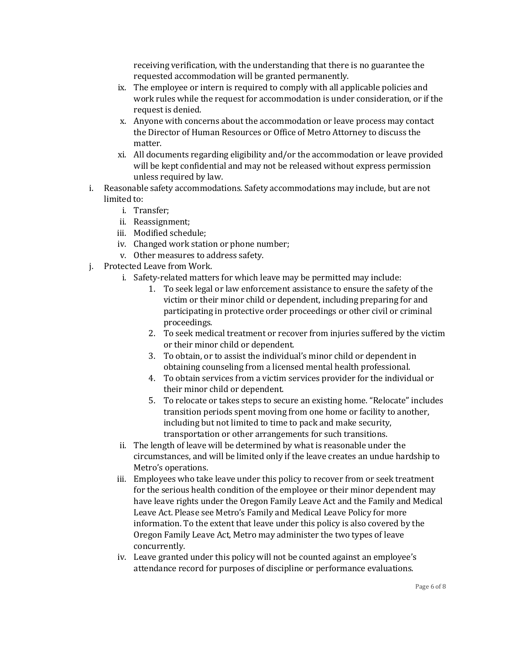receiving verification, with the understanding that there is no guarantee the requested accommodation will be granted permanently.

- ix. The employee or intern is required to comply with all applicable policies and work rules while the request for accommodation is under consideration, or if the request is denied.
- x. Anyone with concerns about the accommodation or leave process may contact the Director of Human Resources or Office of Metro Attorney to discuss the matter.
- xi. All documents regarding eligibility and/or the accommodation or leave provided will be kept confidential and may not be released without express permission unless required by law.
- i. Reasonable safety accommodations. Safety accommodations may include, but are not limited to:
	- i. Transfer;
	- ii. Reassignment;
	- iii. Modified schedule;
	- iv. Changed work station or phone number;
	- v. Other measures to address safety.
- j. Protected Leave from Work.
	- i. Safety-related matters for which leave may be permitted may include:
		- 1. To seek legal or law enforcement assistance to ensure the safety of the victim or their minor child or dependent, including preparing for and participating in protective order proceedings or other civil or criminal proceedings.
		- 2. To seek medical treatment or recover from injuries suffered by the victim or their minor child or dependent.
		- 3. To obtain, or to assist the individual's minor child or dependent in obtaining counseling from a licensed mental health professional.
		- 4. To obtain services from a victim services provider for the individual or their minor child or dependent.
		- 5. To relocate or takes steps to secure an existing home. "Relocate" includes transition periods spent moving from one home or facility to another, including but not limited to time to pack and make security, transportation or other arrangements for such transitions.
	- ii. The length of leave will be determined by what is reasonable under the circumstances, and will be limited only if the leave creates an undue hardship to Metro's operations.
	- iii. Employees who take leave under this policy to recover from or seek treatment for the serious health condition of the employee or their minor dependent may have leave rights under the Oregon Family Leave Act and the Family and Medical Leave Act. Please see Metro's Family and Medical Leave Policy for more information. To the extent that leave under this policy is also covered by the Oregon Family Leave Act, Metro may administer the two types of leave concurrently.
	- iv. Leave granted under this policy will not be counted against an employee's attendance record for purposes of discipline or performance evaluations.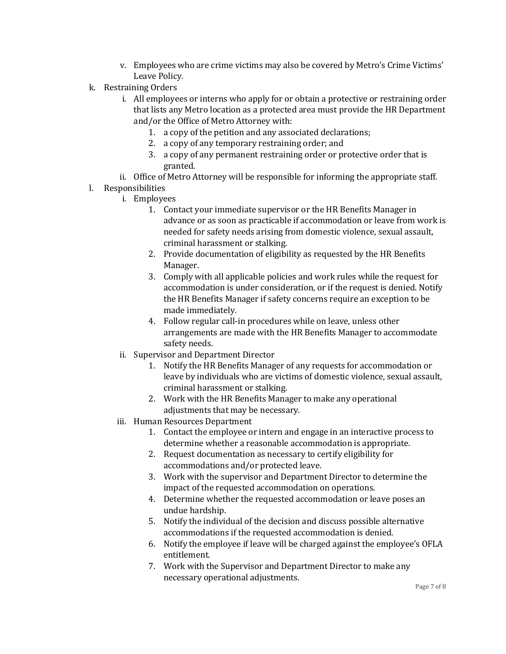- v. Employees who are crime victims may also be covered by Metro's Crime Victims' Leave Policy.
- k. Restraining Orders
	- i. All employees or interns who apply for or obtain a protective or restraining order that lists any Metro location as a protected area must provide the HR Department and/or the Office of Metro Attorney with:
		- 1. a copy of the petition and any associated declarations;
		- 2. a copy of any temporary restraining order; and
		- 3. a copy of any permanent restraining order or protective order that is granted.
	- ii. Office of Metro Attorney will be responsible for informing the appropriate staff.
- l. Responsibilities
	- i. Employees
		- 1. Contact your immediate supervisor or the HR Benefits Manager in advance or as soon as practicable if accommodation or leave from work is needed for safety needs arising from domestic violence, sexual assault, criminal harassment or stalking.
		- 2. Provide documentation of eligibility as requested by the HR Benefits Manager.
		- 3. Comply with all applicable policies and work rules while the request for accommodation is under consideration, or if the request is denied. Notify the HR Benefits Manager if safety concerns require an exception to be made immediately.
		- 4. Follow regular call-in procedures while on leave, unless other arrangements are made with the HR Benefits Manager to accommodate safety needs.
	- ii. Supervisor and Department Director
		- 1. Notify the HR Benefits Manager of any requests for accommodation or leave by individuals who are victims of domestic violence, sexual assault, criminal harassment or stalking.
		- 2. Work with the HR Benefits Manager to make any operational adjustments that may be necessary.
	- iii. Human Resources Department
		- 1. Contact the employee or intern and engage in an interactive process to determine whether a reasonable accommodation is appropriate.
		- 2. Request documentation as necessary to certify eligibility for accommodations and/or protected leave.
		- 3. Work with the supervisor and Department Director to determine the impact of the requested accommodation on operations.
		- 4. Determine whether the requested accommodation or leave poses an undue hardship.
		- 5. Notify the individual of the decision and discuss possible alternative accommodations if the requested accommodation is denied.
		- 6. Notify the employee if leave will be charged against the employee's OFLA entitlement.
		- 7. Work with the Supervisor and Department Director to make any necessary operational adjustments.